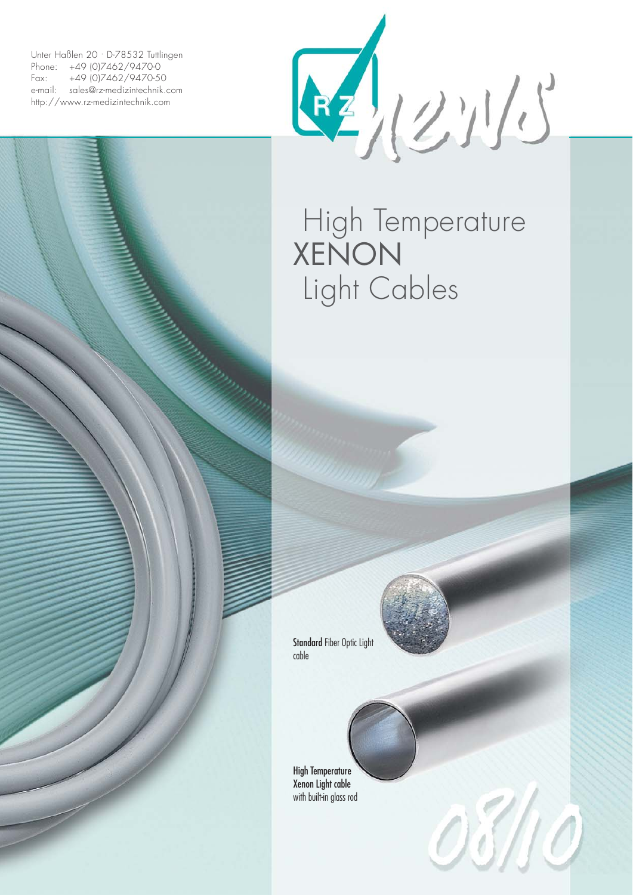Unter Haßlen 20 · D-78532 Tuttlingen Phone: +49 (0)7462/9470-0 Fax: +49 (0)7462/9470-50 e-mail: sales@rz-medizintechnik.com http://www.rz-medizintechnik.com



## High Temperature **XENON** Light Cables

Standard Fiber Optic Light cable

High Temperature Xenon Light cable with built-in glass rod



03/10